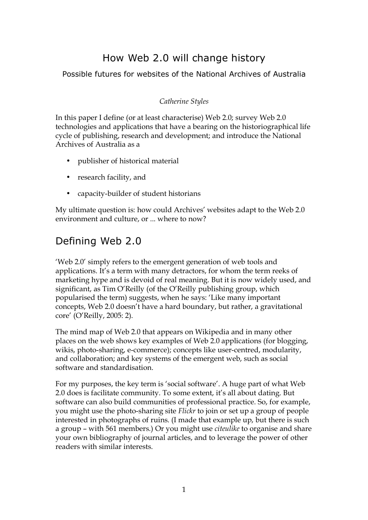# How Web 2.0 will change history

## Possible futures for websites of the National Archives of Australia

### *Catherine Styles*

In this paper I define (or at least characterise) Web 2.0; survey Web 2.0 technologies and applications that have a bearing on the historiographical life cycle of publishing, research and development; and introduce the National Archives of Australia as a

- publisher of historical material
- research facility, and
- capacity-builder of student historians

My ultimate question is: how could Archives' websites adapt to the Web 2.0 environment and culture, or ... where to now?

# Defining Web 2.0

'Web 2.0' simply refers to the emergent generation of web tools and applications. It's a term with many detractors, for whom the term reeks of marketing hype and is devoid of real meaning. But it is now widely used, and significant, as Tim O'Reilly (of the O'Reilly publishing group, which popularised the term) suggests, when he says: 'Like many important concepts, Web 2.0 doesn't have a hard boundary, but rather, a gravitational core' (O'Reilly, 2005: 2).

The mind map of Web 2.0 that appears on Wikipedia and in many other places on the web shows key examples of Web 2.0 applications (for blogging, wikis, photo-sharing, e-commerce); concepts like user-centred, modularity, and collaboration; and key systems of the emergent web, such as social software and standardisation.

For my purposes, the key term is 'social software'. A huge part of what Web 2.0 does is facilitate community. To some extent, it's all about dating. But software can also build communities of professional practice. So, for example, you might use the photo-sharing site *Flickr* to join or set up a group of people interested in photographs of ruins. (I made that example up, but there is such a group – with 561 members.) Or you might use *citeulike* to organise and share your own bibliography of journal articles, and to leverage the power of other readers with similar interests.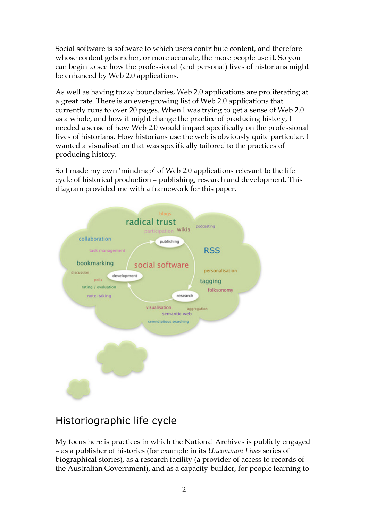Social software is software to which users contribute content, and therefore whose content gets richer, or more accurate, the more people use it. So you can begin to see how the professional (and personal) lives of historians might be enhanced by Web 2.0 applications.

As well as having fuzzy boundaries, Web 2.0 applications are proliferating at a great rate. There is an ever-growing list of Web 2.0 applications that currently runs to over 20 pages. When I was trying to get a sense of Web 2.0 as a whole, and how it might change the practice of producing history, I needed a sense of how Web 2.0 would impact specifically on the professional lives of historians. How historians use the web is obviously quite particular. I wanted a visualisation that was specifically tailored to the practices of producing history.

So I made my own 'mindmap' of Web 2.0 applications relevant to the life cycle of historical production – publishing, research and development. This diagram provided me with a framework for this paper.



# Historiographic life cycle

My focus here is practices in which the National Archives is publicly engaged – as a publisher of histories (for example in its *Uncommon Lives* series of biographical stories), as a research facility (a provider of access to records of the Australian Government), and as a capacity-builder, for people learning to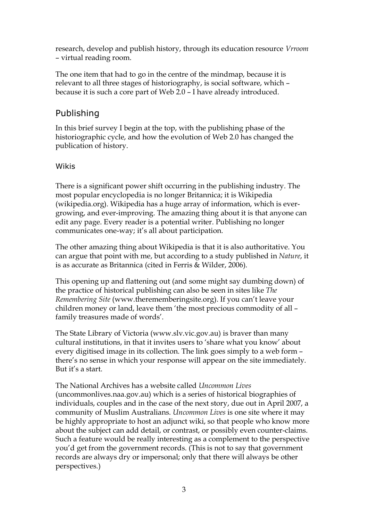research, develop and publish history, through its education resource *Vrroom* – virtual reading room.

The one item that had to go in the centre of the mindmap, because it is relevant to all three stages of historiography, is social software, which – because it is such a core part of Web 2.0 – I have already introduced.

# Publishing

In this brief survey I begin at the top, with the publishing phase of the historiographic cycle, and how the evolution of Web 2.0 has changed the publication of history.

## Wikis

There is a significant power shift occurring in the publishing industry. The most popular encyclopedia is no longer Britannica; it is Wikipedia (wikipedia.org). Wikipedia has a huge array of information, which is evergrowing, and ever-improving. The amazing thing about it is that anyone can edit any page. Every reader is a potential writer. Publishing no longer communicates one-way; it's all about participation.

The other amazing thing about Wikipedia is that it is also authoritative. You can argue that point with me, but according to a study published in *Nature*, it is as accurate as Britannica (cited in Ferris & Wilder, 2006).

This opening up and flattening out (and some might say dumbing down) of the practice of historical publishing can also be seen in sites like *The Remembering Site* (www.therememberingsite.org). If you can't leave your children money or land, leave them 'the most precious commodity of all – family treasures made of words'.

The State Library of Victoria (www.slv.vic.gov.au) is braver than many cultural institutions, in that it invites users to 'share what you know' about every digitised image in its collection. The link goes simply to a web form – there's no sense in which your response will appear on the site immediately. But it's a start.

The National Archives has a website called *Uncommon Lives* (uncommonlives.naa.gov.au) which is a series of historical biographies of individuals, couples and in the case of the next story, due out in April 2007, a community of Muslim Australians. *Uncommon Lives* is one site where it may be highly appropriate to host an adjunct wiki, so that people who know more about the subject can add detail, or contrast, or possibly even counter-claims. Such a feature would be really interesting as a complement to the perspective you'd get from the government records. (This is not to say that government records are always dry or impersonal; only that there will always be other perspectives.)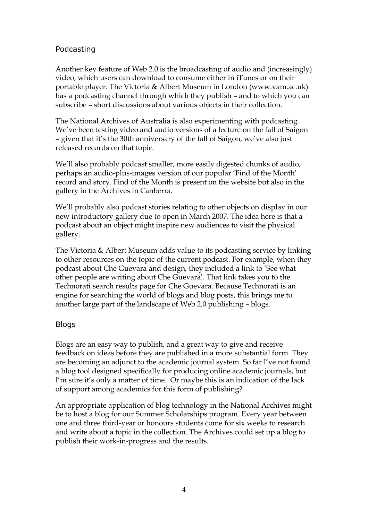### Podcasting

Another key feature of Web 2.0 is the broadcasting of audio and (increasingly) video, which users can download to consume either in iTunes or on their portable player. The Victoria & Albert Museum in London (www.vam.ac.uk) has a podcasting channel through which they publish – and to which you can subscribe – short discussions about various objects in their collection.

The National Archives of Australia is also experimenting with podcasting. We've been testing video and audio versions of a lecture on the fall of Saigon – given that it's the 30th anniversary of the fall of Saigon, we've also just released records on that topic.

We'll also probably podcast smaller, more easily digested chunks of audio, perhaps an audio-plus-images version of our popular 'Find of the Month' record and story. Find of the Month is present on the website but also in the gallery in the Archives in Canberra.

We'll probably also podcast stories relating to other objects on display in our new introductory gallery due to open in March 2007. The idea here is that a podcast about an object might inspire new audiences to visit the physical gallery.

The Victoria & Albert Museum adds value to its podcasting service by linking to other resources on the topic of the current podcast. For example, when they podcast about Che Guevara and design, they included a link to 'See what other people are writing about Che Guevara'. That link takes you to the Technorati search results page for Che Guevara. Because Technorati is an engine for searching the world of blogs and blog posts, this brings me to another large part of the landscape of Web 2.0 publishing – blogs.

### Blogs

Blogs are an easy way to publish, and a great way to give and receive feedback on ideas before they are published in a more substantial form. They are becoming an adjunct to the academic journal system. So far I've not found a blog tool designed specifically for producing online academic journals, but I'm sure it's only a matter of time. Or maybe this is an indication of the lack of support among academics for this form of publishing?

An appropriate application of blog technology in the National Archives might be to host a blog for our Summer Scholarships program. Every year between one and three third-year or honours students come for six weeks to research and write about a topic in the collection. The Archives could set up a blog to publish their work-in-progress and the results.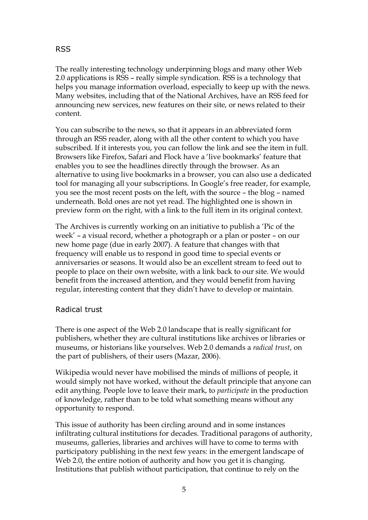## RSS

The really interesting technology underpinning blogs and many other Web 2.0 applications is RSS – really simple syndication. RSS is a technology that helps you manage information overload, especially to keep up with the news. Many websites, including that of the National Archives, have an RSS feed for announcing new services, new features on their site, or news related to their content.

You can subscribe to the news, so that it appears in an abbreviated form through an RSS reader, along with all the other content to which you have subscribed. If it interests you, you can follow the link and see the item in full. Browsers like Firefox, Safari and Flock have a 'live bookmarks' feature that enables you to see the headlines directly through the browser. As an alternative to using live bookmarks in a browser, you can also use a dedicated tool for managing all your subscriptions. In Google's free reader, for example, you see the most recent posts on the left, with the source – the blog – named underneath. Bold ones are not yet read. The highlighted one is shown in preview form on the right, with a link to the full item in its original context.

The Archives is currently working on an initiative to publish a 'Pic of the week' – a visual record, whether a photograph or a plan or poster – on our new home page (due in early 2007). A feature that changes with that frequency will enable us to respond in good time to special events or anniversaries or seasons. It would also be an excellent stream to feed out to people to place on their own website, with a link back to our site. We would benefit from the increased attention, and they would benefit from having regular, interesting content that they didn't have to develop or maintain.

#### Radical trust

There is one aspect of the Web 2.0 landscape that is really significant for publishers, whether they are cultural institutions like archives or libraries or museums, or historians like yourselves. Web 2.0 demands a *radical trust*, on the part of publishers, of their users (Mazar, 2006).

Wikipedia would never have mobilised the minds of millions of people, it would simply not have worked, without the default principle that anyone can edit anything. People love to leave their mark, to *participate* in the production of knowledge, rather than to be told what something means without any opportunity to respond.

This issue of authority has been circling around and in some instances infiltrating cultural institutions for decades. Traditional paragons of authority, museums, galleries, libraries and archives will have to come to terms with participatory publishing in the next few years: in the emergent landscape of Web 2.0, the entire notion of authority and how you get it is changing. Institutions that publish without participation, that continue to rely on the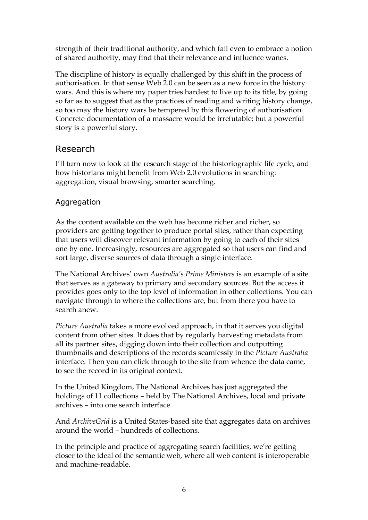strength of their traditional authority, and which fail even to embrace a notion of shared authority, may find that their relevance and influence wanes.

The discipline of history is equally challenged by this shift in the process of authorisation. In that sense Web 2.0 can be seen as a new force in the history wars. And this is where my paper tries hardest to live up to its title, by going so far as to suggest that as the practices of reading and writing history change, so too may the history wars be tempered by this flowering of authorisation. Concrete documentation of a massacre would be irrefutable; but a powerful story is a powerful story.

# Research

I'll turn now to look at the research stage of the historiographic life cycle, and how historians might benefit from Web 2.0 evolutions in searching: aggregation, visual browsing, smarter searching.

## Aggregation

As the content available on the web has become richer and richer, so providers are getting together to produce portal sites, rather than expecting that users will discover relevant information by going to each of their sites one by one. Increasingly, resources are aggregated so that users can find and sort large, diverse sources of data through a single interface.

The National Archives' own *Australia's Prime Ministers* is an example of a site that serves as a gateway to primary and secondary sources. But the access it provides goes only to the top level of information in other collections. You can navigate through to where the collections are, but from there you have to search anew.

*Picture Australia* takes a more evolved approach, in that it serves you digital content from other sites. It does that by regularly harvesting metadata from all its partner sites, digging down into their collection and outputting thumbnails and descriptions of the records seamlessly in the *Picture Australia* interface. Then you can click through to the site from whence the data came, to see the record in its original context.

In the United Kingdom, The National Archives has just aggregated the holdings of 11 collections – held by The National Archives, local and private archives – into one search interface.

And *ArchiveGrid* is a United States-based site that aggregates data on archives around the world – hundreds of collections.

In the principle and practice of aggregating search facilities, we're getting closer to the ideal of the semantic web, where all web content is interoperable and machine-readable.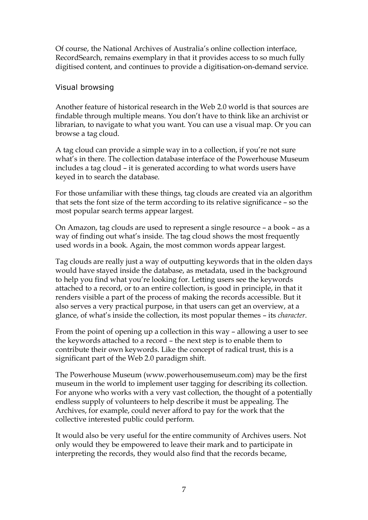Of course, the National Archives of Australia's online collection interface, RecordSearch, remains exemplary in that it provides access to so much fully digitised content, and continues to provide a digitisation-on-demand service.

#### Visual browsing

Another feature of historical research in the Web 2.0 world is that sources are findable through multiple means. You don't have to think like an archivist or librarian, to navigate to what you want. You can use a visual map. Or you can browse a tag cloud.

A tag cloud can provide a simple way in to a collection, if you're not sure what's in there. The collection database interface of the Powerhouse Museum includes a tag cloud – it is generated according to what words users have keyed in to search the database.

For those unfamiliar with these things, tag clouds are created via an algorithm that sets the font size of the term according to its relative significance – so the most popular search terms appear largest.

On Amazon, tag clouds are used to represent a single resource – a book – as a way of finding out what's inside. The tag cloud shows the most frequently used words in a book. Again, the most common words appear largest.

Tag clouds are really just a way of outputting keywords that in the olden days would have stayed inside the database, as metadata, used in the background to help you find what you're looking for. Letting users see the keywords attached to a record, or to an entire collection, is good in principle, in that it renders visible a part of the process of making the records accessible. But it also serves a very practical purpose, in that users can get an overview, at a glance, of what's inside the collection, its most popular themes – its *character*.

From the point of opening up a collection in this way – allowing a user to see the keywords attached to a record – the next step is to enable them to contribute their own keywords. Like the concept of radical trust, this is a significant part of the Web 2.0 paradigm shift.

The Powerhouse Museum (www.powerhousemuseum.com) may be the first museum in the world to implement user tagging for describing its collection. For anyone who works with a very vast collection, the thought of a potentially endless supply of volunteers to help describe it must be appealing. The Archives, for example, could never afford to pay for the work that the collective interested public could perform.

It would also be very useful for the entire community of Archives users. Not only would they be empowered to leave their mark and to participate in interpreting the records, they would also find that the records became,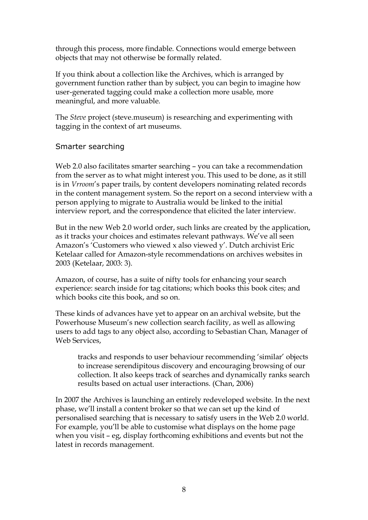through this process, more findable. Connections would emerge between objects that may not otherwise be formally related.

If you think about a collection like the Archives, which is arranged by government function rather than by subject, you can begin to imagine how user-generated tagging could make a collection more usable, more meaningful, and more valuable.

The *Steve* project (steve.museum) is researching and experimenting with tagging in the context of art museums.

#### Smarter searching

Web 2.0 also facilitates smarter searching - you can take a recommendation from the server as to what might interest you. This used to be done, as it still is in *Vrroom*'s paper trails, by content developers nominating related records in the content management system. So the report on a second interview with a person applying to migrate to Australia would be linked to the initial interview report, and the correspondence that elicited the later interview.

But in the new Web 2.0 world order, such links are created by the application, as it tracks your choices and estimates relevant pathways. We've all seen Amazon's 'Customers who viewed x also viewed y'. Dutch archivist Eric Ketelaar called for Amazon-style recommendations on archives websites in 2003 (Ketelaar, 2003: 3).

Amazon, of course, has a suite of nifty tools for enhancing your search experience: search inside for tag citations; which books this book cites; and which books cite this book, and so on.

These kinds of advances have yet to appear on an archival website, but the Powerhouse Museum's new collection search facility, as well as allowing users to add tags to any object also, according to Sebastian Chan, Manager of Web Services,

tracks and responds to user behaviour recommending 'similar' objects to increase serendipitous discovery and encouraging browsing of our collection. It also keeps track of searches and dynamically ranks search results based on actual user interactions. (Chan, 2006)

In 2007 the Archives is launching an entirely redeveloped website. In the next phase, we'll install a content broker so that we can set up the kind of personalised searching that is necessary to satisfy users in the Web 2.0 world. For example, you'll be able to customise what displays on the home page when you visit – eg, display forthcoming exhibitions and events but not the latest in records management.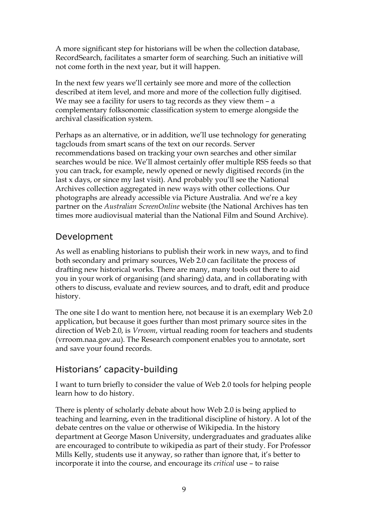A more significant step for historians will be when the collection database, RecordSearch, facilitates a smarter form of searching. Such an initiative will not come forth in the next year, but it will happen.

In the next few years we'll certainly see more and more of the collection described at item level, and more and more of the collection fully digitised. We may see a facility for users to tag records as they view them - a complementary folksonomic classification system to emerge alongside the archival classification system.

Perhaps as an alternative, or in addition, we'll use technology for generating tagclouds from smart scans of the text on our records. Server recommendations based on tracking your own searches and other similar searches would be nice. We'll almost certainly offer multiple RSS feeds so that you can track, for example, newly opened or newly digitised records (in the last x days, or since my last visit). And probably you'll see the National Archives collection aggregated in new ways with other collections. Our photographs are already accessible via Picture Australia. And we're a key partner on the *Australian ScreenOnline* website (the National Archives has ten times more audiovisual material than the National Film and Sound Archive).

# Development

As well as enabling historians to publish their work in new ways, and to find both secondary and primary sources, Web 2.0 can facilitate the process of drafting new historical works. There are many, many tools out there to aid you in your work of organising (and sharing) data, and in collaborating with others to discuss, evaluate and review sources, and to draft, edit and produce history.

The one site I do want to mention here, not because it is an exemplary Web 2.0 application, but because it goes further than most primary source sites in the direction of Web 2.0, is *Vrroom*, virtual reading room for teachers and students (vrroom.naa.gov.au). The Research component enables you to annotate, sort and save your found records.

## Historians' capacity-building

I want to turn briefly to consider the value of Web 2.0 tools for helping people learn how to do history.

There is plenty of scholarly debate about how Web 2.0 is being applied to teaching and learning, even in the traditional discipline of history. A lot of the debate centres on the value or otherwise of Wikipedia. In the history department at George Mason University, undergraduates and graduates alike are encouraged to contribute to wikipedia as part of their study. For Professor Mills Kelly, students use it anyway, so rather than ignore that, it's better to incorporate it into the course, and encourage its *critical* use – to raise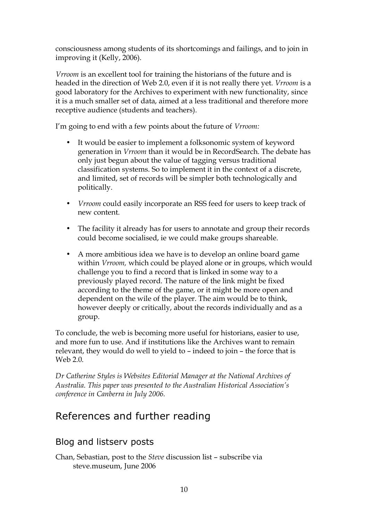consciousness among students of its shortcomings and failings, and to join in improving it (Kelly, 2006).

*Vrroom* is an excellent tool for training the historians of the future and is headed in the direction of Web 2.0, even if it is not really there yet. *Vrroom* is a good laboratory for the Archives to experiment with new functionality, since it is a much smaller set of data, aimed at a less traditional and therefore more receptive audience (students and teachers).

I'm going to end with a few points about the future of *Vrroom:*

- It would be easier to implement a folksonomic system of keyword generation in *Vrroom* than it would be in RecordSearch. The debate has only just begun about the value of tagging versus traditional classification systems. So to implement it in the context of a discrete, and limited, set of records will be simpler both technologically and politically.
- *Vrroom* could easily incorporate an RSS feed for users to keep track of new content.
- The facility it already has for users to annotate and group their records could become socialised, ie we could make groups shareable.
- A more ambitious idea we have is to develop an online board game within *Vrroom,* which could be played alone or in groups, which would challenge you to find a record that is linked in some way to a previously played record. The nature of the link might be fixed according to the theme of the game, or it might be more open and dependent on the wile of the player. The aim would be to think, however deeply or critically, about the records individually and as a group.

To conclude, the web is becoming more useful for historians, easier to use, and more fun to use. And if institutions like the Archives want to remain relevant, they would do well to yield to – indeed to join – the force that is Web 2.0.

*Dr Catherine Styles is Websites Editorial Manager at the National Archives of Australia. This paper was presented to the Australian Historical Association's conference in Canberra in July 2006.*

# References and further reading

# Blog and listserv posts

Chan, Sebastian, post to the *Steve* discussion list – subscribe via steve.museum, June 2006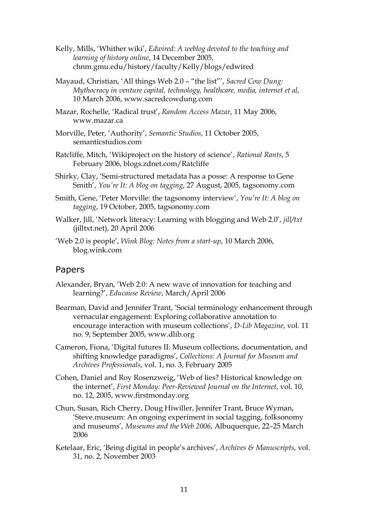- Kelly, Mills, 'Whither wiki', *Edwired: A weblog devoted to the teaching and learning of history online*, 14 December 2005, chnm.gmu.edu/history/faculty/Kelly/blogs/edwired
- Mayaud, Christian, 'All things Web 2.0 "the list"', *Sacred Cow Dung: Mythocracy in venture capital, technology, healthcare, media, internet et al*, 10 March 2006, www.sacredcowdung.com
- Mazar, Rochelle, 'Radical trust', *Random Access Mazar*, 11 May 2006, www.mazar.ca
- Morville, Peter, 'Authority', *Semantic Studios*, 11 October 2005, semanticstudios.com
- Ratcliffe, Mitch, 'Wikiproject on the history of science', *Rational Rants*, 5 February 2006, blogs.zdnet.com/Ratcliffe
- Shirky, Clay, 'Semi-structured metadata has a posse: A response to Gene Smith', *You're It: A blog on tagging*, 27 August, 2005, tagsonomy.com
- Smith, Gene, 'Peter Morville: the tagsonomy interview', *You're It: A blog on tagging*, 19 October, 2005, tagsonomy.com
- Walker, Jill, 'Network literacy: Learning with blogging and Web 2.0', *jill/txt* (jilltxt.net), 20 April 2006
- 'Web 2.0 is people', *Wink Blog: Notes from a start-up*, 10 March 2006, blog.wink.com

#### Papers

- Alexander, Bryan, 'Web 2.0: A new wave of innovation for teaching and learning?', *Educause Review*, March/April 2006
- Bearman, David and Jennifer Trant, 'Social terminology enhancement through vernacular engagement: Exploring collaborative annotation to encourage interaction with museum collections', *D-Lib Magazine*, vol. 11 no. 9, September 2005, www.dlib.org
- Cameron, Fiona, 'Digital futures II: Museum collections, documentation, and shifting knowledge paradigms', *Collections: A Journal for Museum and Archives Professionals*, vol. 1, no. 3, February 2005
- Cohen, Daniel and Roy Rosenzweig, 'Web of lies? Historical knowledge on the internet', *First Monday: Peer-Reviewed Journal on the Internet*, vol. 10, no. 12, 2005, www.firstmonday.org
- Chun, Susan, Rich Cherry, Doug Hiwiller, Jennifer Trant, Bruce Wyman, 'Steve.museum: An ongoing experiment in social tagging, folksonomy and museums', *Museums and the Web 2006*, Albuquerque, 22–25 March 2006
- Ketelaar, Eric, 'Being digital in people's archives', *Archives & Manuscripts*, vol. 31, no. 2, November 2003